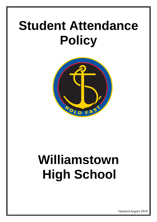# **Student Attendance Policy**



# **Williamstown High School**

Updated August 2018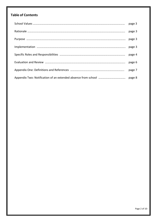# **Table of Contents**

| page 7 |
|--------|
|        |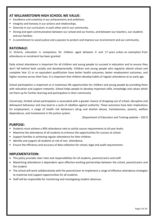## **AT WILLIAMSTOWN HIGH SCHOOL WE VALUE:**

- **Excellence and creativity in our achievements and ambitions.**
- Integrity and honesty in our actions and relationships.
- Diversity in our curriculum, in each other and in our community.
- Strong and open communication between our school and our homes, and between our teachers, our students and our families.
- A commitment to social justice and a passion to protect and improve our environment and our community.

## **RATIONALE:**

In Victoria, education is compulsory for children aged between 6 and 17 years unless an exemption from attendance or enrolment has been granted.

Daily school attendance is important for all children and young people to succeed in education and to ensure they don't fall behind both socially and developmentally. Children and young people who regularly attend school and complete Year 12 or an equivalent qualification have better health outcomes, better employment outcomes, and higher incomes across their lives. It is important that children develop habits of regular attendance at an early age.

School participation is important as it maximises life opportunities for children and young people by providing them with education and support networks. School helps people to develop important skills, knowledge and values which set them up for further learning and participation in their community.

Conversely, limited school participation is associated with a greater chance of dropping out of school, disruptive and delinquent behaviour and may lead to a cycle of rebellion against authority. These outcomes have later implications for employment, a range of health risk behaviours (drug and alcohol abuse), homelessness, poverty, welfare dependence, and involvement in the justice system.

(Department of Education and Training website – 2017)

## **PURPOSE:**

- **Students must achieve a 90% attendance rate to satisfy course requirements at all year levels.**
- **Maximise the attendance of all students to enhance the opportunities for success at school.**
- **Support families in achieving regular attendance for their children.**
- **If** Identify and support all students at risk of non-attendance.
- **E** Ensure the efficiency and accuracy of data collection for school, legal and audit requirements.

## **IMPLEMENTATION:**

- This policy provides clear roles and responsibilities for all students, parents/carers and staff.
- Maximising attendance is dependent upon effective working partnerships between the school, parent/carers and the student.
- The school will work collaboratively with the parent/carer to implement a range of effective attendance strategies to maximise and support opportunities for all students.
- Staff will be responsible for monitoring and investigating student absences.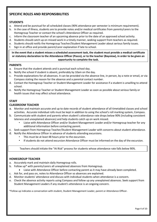# **SPECIFIC ROLES AND RESPONSIBILITIES**

### **STUDENTS**

- a. Attend and be punctual for all scheduled classes (90% attendance per semester is minimum requirement).
- b. In the case of illness, students are to provide notes and/or medical certificates from parents/carers to the Homegroup Teacher or contact the school's Attendance Officer as required.
- c. Inform the classroom teacher of an upcoming absence prior to the date of an approved school activity.
- d. Students should catch up on missed work in a timely manner, seeking support from teachers as required.
- e. Students should notify the Homegroup Teacher/Student Management Leader about serious family issues.
- f. Sign in at office and provide parent/carer explanation if late to school.

**In the event that a student misses a scheduled assessment task, the student must provide a medical certificate or statutory declaration to the Attendance Officer (Pasco), or to the teacher (Bayview), in order to be given an opportunity to complete the task.**

#### **PARENTS**

- a. Ensure that the student attends and is punctual each school day.
- b. Notify the school if student is absent, preferably by 10am on the day.
- c. Provide explanations for all absences. It can be provided via the absence line, in person, by a note or email, or via Compass stating the reason for the absence and a parental contact number.
- d. Contact the Homegroup Teacher or Student Management Leader for assistance if a student is unwilling to attend school.
- e. Notify the Homegroup Teacher or Student Management Leader as soon as possible about serious family or health issues that may affect school attendance.

#### **STAFF**

#### **CLASSROOM TEACHER**

- a. Monitor and maintain accurate and up to date records of student attendance of all timetabled classes and school activities. Accurate individual rolls must be kept in addition to using the school's roll marking system, Compass.
- b. Communicate with student and parents when student's attendance rate drops below 90% (including consistent lateness and unexplained absences) and help students catch up on work missed.
	- Liaise with Attendance Officer and/or Student Management Leader and/or Homegroup teacher for any additional information before contacting parent.
- c. Seek support from Homegroup Teacher/Student Management Leader with concerns about student attendance.
- d. Notify the Attendance Officer in advance of students attending excursions.
	- This must be at least 48 hours prior to the excursion.
	- If students do not attend excursion Attendance Officer must be informed on the day of the excursion.

Teachers should initiate the "At Risk" process for students whose attendance rate falls below 90%.

#### **HOMEGROUP TEACHER**

- a. Accurately mark and maintain daily Homegroup rolls.
- b. Follow up\* with parents/carers all unexplained absences from Homegroup.
	- Liaise with Attendance Officer before contacting parent as it may have already been completed.
- c. Ask for, and pass on, notes to Attendance Officer so absences are explained.
- d. Monitor students' attendance and discuss with individual students when attendance is a concern.
- e. Check the absence activity reports using Compass and follow up any unexplained absences. Seek support from Student Management Leaders if any student's attendance is an ongoing concern.

\*Follow up indicates a conversation with student, Student Management Leader, parent or Attendance Officer.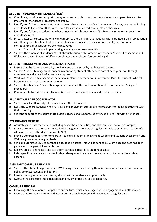#### **STUDENT MANAGEMENT LEADERS (SML)**

- a. Coordinate, monitor and support Homegroup teachers, classroom teachers, students and parents/carers to implement Attendance Procedures and Policy.
- b. Identify and follow up when a student has been absent more than five days in a term for any reason (indicating attendance falling below 90 per cent), even for parent approved health-related absences.
- c. Identify and follow up students who have unexplained absences over 10%. Regularly monitor the year level attendance rates.
- d. Discuss attendance concerns with Homegroup Teachers and initiate meetings with parents/carers in conjunction with Homegroup Teachers to discuss attendance concerns, attendance requirements, and potential consequences of unsatisfactory attendance rates.
	- This would include implementing Attendance Improvement Plans.
- e. Support the progress of students At Risk through liaison with Homegroup Teachers, Student Engagement and Wellbeing Leader, Student Welfare Coordinator and Assistant Campus Principal.

#### **STUDENT ENGAGEMENT AND WELLBEING LEADER**

- a. Ensure that the Attendance Policy is evident and understood by students and parents.
- b. Support Student Management Leaders in monitoring student attendance data at each year level through examination and analysis of attendance reports.
- c. Work with Student Management Leaders to implement Attendance Improvement Plans for students who fall below the 90% attendance requirements.
- d. Support teachers and Student Management Leaders in the implementation of the Attendance Policy and Procedures.
- e. Communicate to staff specific absences (explained) such as internal or external suspension.

#### **STUDENT WELFARE COORDINATOR**

- a. Support of all staff in early intervention of all At Risk students.
- b. Regularly support students who are At Risk and implement strategies and programs to reengage students with their schooling.
- c. Seek the support of the appropriate outside agencies to support students who are At Risk with attendance.

#### **ATTENDANCE OFFICER**

- a. Accurately input daily absences (including school based activities) and absence information on Compass.
- b. Provide attendance summaries to Student Management Leaders at regular intervals to assist them to identify when a student's attendance is close to 90%.
- c. Provide Compass reports to Homegroup Teachers, Student Management Leaders and Student Engagement and Wellbeing Leader on a regular basis.
- d. Send an automated SMS to parents if a student is absent. This will be sent at 11:00am once the data has been generated from period 1 and 2 classes.
- e. Receive emails, phone calls and texts from parents in regards to student absence.
- f. Refer specific attendance issues to Student Management Leaders if concerned about a particular student absence.

#### **ASSISTANT CAMPUS PRINCIPAL**

- a. Support the Student Engagement and Wellbeing Leader in ensuring there is clarity in the school's Attendance Policy amongst students and parents.
- b. Ensure that a good example is set by all staff with attendance and punctuality.
- c. Oversee the consistent implementation and review of policies and procedures.

#### **CAMPUS PRINCIPAL**

- a. Encourage the development of policies and culture, which encourage student engagement and attendance.
- b. Ensure that Attendance Policy and Procedures are implemented and reviewed on a regular basis.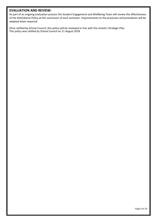## **EVALUATION AND REVIEW:**

As part of an ongoing evaluation process the Student Engagement and Wellbeing Team will review the effectiveness of the Attendance Policy at the conclusion of each semester. Improvements to the processes and procedures will be adapted when required.

Once ratified by School Council, this policy will be reviewed in line with the school's Strategic Plan. This policy was ratified by School Council on 21 August 2018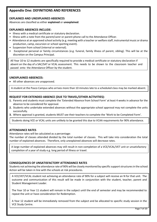## **Appendix One: DEFINITIONS AND REFERENCES**

## **EXPLAINED AND UNEXPLAINED ABSENCES**

Absences are classified as either **explained** or **unexplained**.

#### **EXPLAINED ABSENCES INCLUDE:**

- Illness with a medical certificate or statutory declaration.
- Illness with a note from the parent/carer or parent phone call to the Attendance Officer.
- Attendance at an approved school activity (e.g. meeting with a teacher or welfare staff, instrumental music or drama production, camp, excursion or school sporting event).
- Suspension from school (internal or external).
- Exceptional personal or family circumstances (e.g. funeral, family illness of parent, sibling). This will be at the discretion on the Campus Principal.

All Year 10 to 12 students are specifically required to provide a medical certificate or statutory declaration if absent on the day of a SAC/SAT or VCAL assessment. This needs to be shown to the classroom teacher and passed onto the Attendance Officer by the student.

#### **UNEXPLAINED ABSENCES:**

• All other absences are unapproved.

A student at the Pasco Campus who arrives more than 10 minutes late to a scheduled class may be marked absent.

#### **REQUEST FOR EXTENDED ABSENCE (DUE TO TRAVEL/OTHER ACTIVITIES):**

- **1.** Parents and students must complete the 'Extended Absence from School Form' at least 4 weeks in advance for the absence to be considered for approval.
- **2.** Students who undertake extended absences without the appropriate school approval may not complete the units successfully.
- **3.** Where approval is granted, students MUST see their teachers to complete the 'Work to be Completed Form'.

Students doing VCE or VCAL units are unlikely to be granted this due to VCAA requirements for 90% attendance.

#### **ATTENDANCE RATES**

.

Attendance rates will be calculated as a percentage:

The number of classes attended divided by the total number of classes. This will take into consideration the total number of explained absences. Therefore, only unexplained absences will decrease rates.

A large number of explained absences may still result in non-completion of a VCE/VCAL/VET unit or unsatisfactory completion of a year of study e.g. long period of illness or travel.

#### **CONSEQUENCES OF UNSATISFACTORY ATTENDANCE RATES**

Students not achieving the attendance rate of 90% will be closely monitored by specific support structures in the school. Action will be taken in line with the schools at risk procedures.

A VCE/VET/VCAL student not achieving an attendance rate of 90% for a subject will receive an N for that unit. The outcome and communication of this result will be made in conjunction with the student, teacher, parent and Student Management Leader.

The Year 10 or Year 11 student will remain in the subject until the end of semester and may be recommended to repeat the unit or have consideration for Redemption.

A Year 12 student will be immediately removed from the subject and be allocated to specific study session in the VCE Study Centre.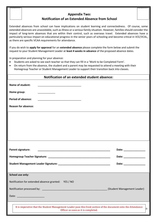# **Appendix Two: Notification of an Extended Absence from School**

Extended absences from school can have implications on student learning and connectedness. Of course, some extended absences are unavoidable, such as illness or a serious family situation. However, families should consider the impact of long-term absences that are within their control, such as overseas travel. Extended absences have a particularly serious impact on educational progress in the senior years of schooling and become critical in VCE/VCAL, as there are specific VCAA requirements for attendance.

If you do wish to **apply for approval** for an **extended absence** please complete the form below and submit the request to your Student Management Leader at **least 4 weeks in advance** of the proposed absence dates.

In preparation and planning for your absence:

- Students are asked to see each teacher so that they can fill in a 'Work to be Completed Form'.
- On return from the absence, the student and a parent may be requested to attend a meeting with their Homegroup Teacher or Student Management Leader to support their transition back into classes.

| <b>Notification of an extended student absence:</b>                                                                                                    |                                                                                                                                                                                                                                |  |  |
|--------------------------------------------------------------------------------------------------------------------------------------------------------|--------------------------------------------------------------------------------------------------------------------------------------------------------------------------------------------------------------------------------|--|--|
| Name of student:                                                                                                                                       |                                                                                                                                                                                                                                |  |  |
| Home group:<br><u> 1980 - John Barn Barns</u>                                                                                                          |                                                                                                                                                                                                                                |  |  |
| <b>Period of absence:</b>                                                                                                                              |                                                                                                                                                                                                                                |  |  |
| <b>Reason for absence:</b>                                                                                                                             |                                                                                                                                                                                                                                |  |  |
|                                                                                                                                                        |                                                                                                                                                                                                                                |  |  |
|                                                                                                                                                        |                                                                                                                                                                                                                                |  |  |
|                                                                                                                                                        |                                                                                                                                                                                                                                |  |  |
|                                                                                                                                                        |                                                                                                                                                                                                                                |  |  |
| Parent signature:                                                                                                                                      | Date: National Property of the Contract of the Contract of the Contract of the Contract of the Contract of the Contract of the Contract of the Contract of the Contract of the Contract of the Contract of the Contract of the |  |  |
|                                                                                                                                                        | Date: _______________                                                                                                                                                                                                          |  |  |
|                                                                                                                                                        | Date: _______________                                                                                                                                                                                                          |  |  |
|                                                                                                                                                        |                                                                                                                                                                                                                                |  |  |
| School use only:                                                                                                                                       |                                                                                                                                                                                                                                |  |  |
| Notification for extended absence granted: YES / NO                                                                                                    |                                                                                                                                                                                                                                |  |  |
|                                                                                                                                                        | (Student Management Leader)                                                                                                                                                                                                    |  |  |
| Date:                                                                                                                                                  |                                                                                                                                                                                                                                |  |  |
| It is imperative that the Student Management Leader pass this front section of the document onto the Attendance<br>Officer as soon as it is completed. | lo-                                                                                                                                                                                                                            |  |  |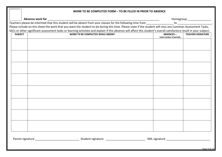|                | WORK TO BE COMPLETED FORM - TO BE FILLED IN PRIOR TO ABSENCE                                                                                                          |                                              |                          |  |  |  |  |
|----------------|-----------------------------------------------------------------------------------------------------------------------------------------------------------------------|----------------------------------------------|--------------------------|--|--|--|--|
|                |                                                                                                                                                                       |                                              |                          |  |  |  |  |
|                |                                                                                                                                                                       |                                              |                          |  |  |  |  |
|                | Please include on this sheet the work that you want the student to do during this time. Please state if the student will miss any Common Assessment Tasks,            |                                              |                          |  |  |  |  |
|                | SACs or other significant assessment tasks or learning activities and explain if this absence will affect this student's overall satisfactory result in your subject. |                                              |                          |  |  |  |  |
| <b>SUBJECT</b> | WORK TO BE COMPLETED WHILE ABSENT                                                                                                                                     | <b>ABSENCES -</b><br>total number of periods | <b>TEACHER SIGNATURE</b> |  |  |  |  |
|                |                                                                                                                                                                       |                                              |                          |  |  |  |  |
|                |                                                                                                                                                                       |                                              |                          |  |  |  |  |
|                |                                                                                                                                                                       |                                              |                          |  |  |  |  |
|                |                                                                                                                                                                       |                                              |                          |  |  |  |  |
|                |                                                                                                                                                                       |                                              |                          |  |  |  |  |
|                |                                                                                                                                                                       |                                              |                          |  |  |  |  |
|                |                                                                                                                                                                       |                                              |                          |  |  |  |  |
|                |                                                                                                                                                                       |                                              |                          |  |  |  |  |
|                |                                                                                                                                                                       |                                              |                          |  |  |  |  |
|                |                                                                                                                                                                       |                                              |                          |  |  |  |  |
|                |                                                                                                                                                                       |                                              |                          |  |  |  |  |
|                |                                                                                                                                                                       |                                              |                          |  |  |  |  |
|                |                                                                                                                                                                       |                                              |                          |  |  |  |  |
|                |                                                                                                                                                                       |                                              |                          |  |  |  |  |
|                |                                                                                                                                                                       |                                              |                          |  |  |  |  |
|                |                                                                                                                                                                       |                                              |                          |  |  |  |  |
|                |                                                                                                                                                                       |                                              |                          |  |  |  |  |
|                |                                                                                                                                                                       |                                              |                          |  |  |  |  |
|                |                                                                                                                                                                       |                                              |                          |  |  |  |  |
|                |                                                                                                                                                                       |                                              |                          |  |  |  |  |
|                |                                                                                                                                                                       |                                              |                          |  |  |  |  |
|                |                                                                                                                                                                       |                                              |                          |  |  |  |  |
|                |                                                                                                                                                                       |                                              |                          |  |  |  |  |
|                |                                                                                                                                                                       |                                              |                          |  |  |  |  |
|                |                                                                                                                                                                       |                                              | Page 9 of 10             |  |  |  |  |